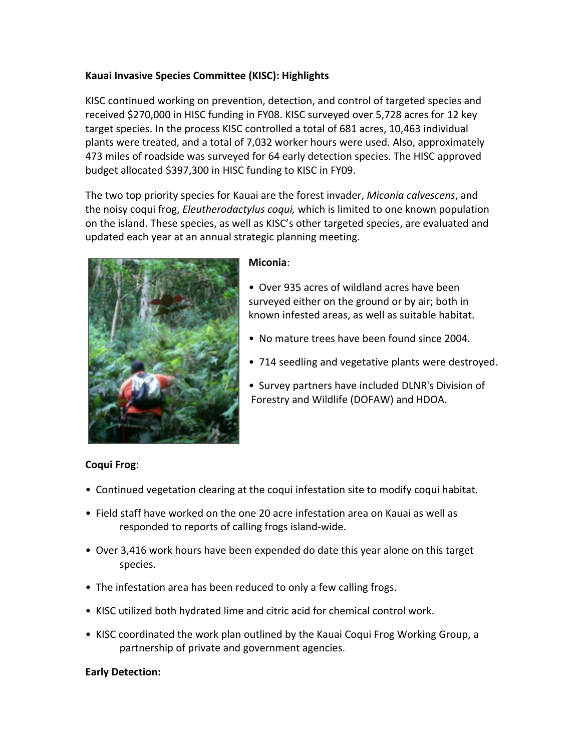## **Kauai Invasive Species Committee (KISC): Highlights**

KISC continued working on prevention, detection, and control of targeted species and received \$270,000 in HISC funding in FY08. KISC surveyed over 5,728 acres for 12 key target species. In the process KISC controlled a total of 681 acres, 10,463 individual plants were treated, and a total of 7,032 worker hours were used. Also, approximately 473 miles of roadside was surveyed for 64 early detection species. The HISC approved budget allocated \$397,300 in HISC funding to KISC in FY09.

The two top priority species for Kauai are the forest invader, *Miconia calvescens*, and the noisy coqui frog, *Eleutherodactylus coqui*, which is limited to one known population on the island. These species, as well as KISC's other targeted species, are evaluated and updated each year at an annual strategic planning meeting.



#### **Miconia**:

- Over 935 acres of wildland acres have been surveyed either on the ground or by air; both in known infested areas, as well as suitable habitat.
- No mature trees have been found since 2004.
- 714 seedling and vegetative plants were destroyed.
- Survey partners have included DLNR's Division of Forestry and Wildlife (DOFAW) and HDOA.

# **Coqui Frog**:

- Continued vegetation clearing at the coqui infestation site to modify coqui habitat.
- Field staff have worked on the one 20 acre infestation area on Kauai as well as responded to reports of calling frogs island-wide.
- Over 3,416 work hours have been expended do date this year alone on this target species.
- The infestation area has been reduced to only a few calling frogs.
- KISC utilized both hydrated lime and citric acid for chemical control work.
- KISC coordinated the work plan outlined by the Kauai Coqui Frog Working Group, a partnership of private and government agencies.

## **Early Detection:**